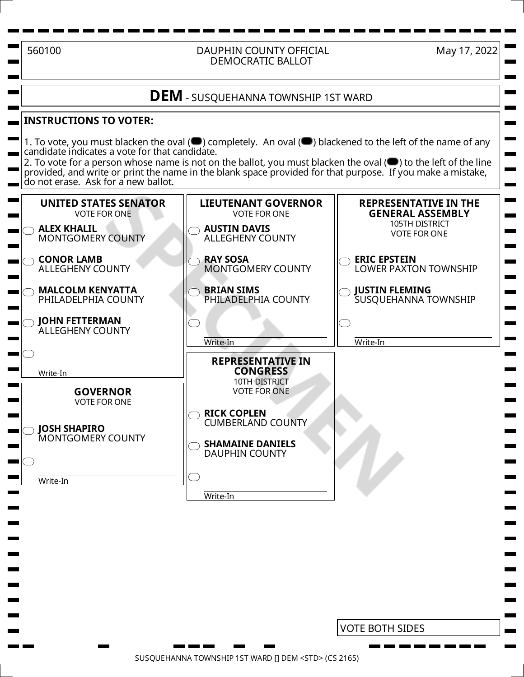$(\ )$ 

## 560100 DAUPHIN COUNTY OFFICIAL DEMOCRATIC BALLOT

May 17, 2022

## **DEM** - SUSQUEHANNA TOWNSHIP 1ST WARD **INSTRUCTIONS TO VOTER:** 1. To vote, you must blacken the oval  $(\blacksquare)$  completely. An oval  $(\blacksquare)$  blackened to the left of the name of any candidate indicates a vote for that candidate. 2. To vote for a person whose name is not on the ballot, you must blacken the oval  $(\bullet)$  to the left of the line provided, and write or print the name in the blank space provided for that purpose. If you make a mistake, do not erase. Ask for a new ballot. **UNITED STATES SENATOR** VOTE FOR ONE **ALEX KHALIL** MONTGOMERY COUNTY **CONOR LAMB** ALLEGHENY COUNTY **MALCOLM KENYATTA** PHILADELPHIA COUNTY **JOHN FETTERMAN** ALLEGHENY COUNTY Write-In **GOVERNOR** VOTE FOR ONE **JOSH SHAPIRO** MONTGOMERY COUNTY Write-In **LIEUTENANT GOVERNOR** VOTE FOR ONE **AUSTIN DAVIS** ALLEGHENY COUNTY **RAY SOSA** MONTGOMERY COUNTY **BRIAN SIMS** PHILADELPHIA COUNTY Write-In **REPRESENTATIVE IN CONGRESS** 10TH DISTRICT VOTE FOR ONE **RICK COPLEN** CUMBERLAND COUNTY **SHAMAINE DANIELS** DAUPHIN COUNTY Write-In **REPRESENTATIVE IN THE GENERAL ASSEMBLY** 105TH DISTRICT VOTE FOR ONE **ERIC EPSTEIN** LOWER PAXTON TOWNSHIP **JUSTIN FLEMING** SUSQUEHANNA TOWNSHIP Write-In

VOTE BOTH SIDES